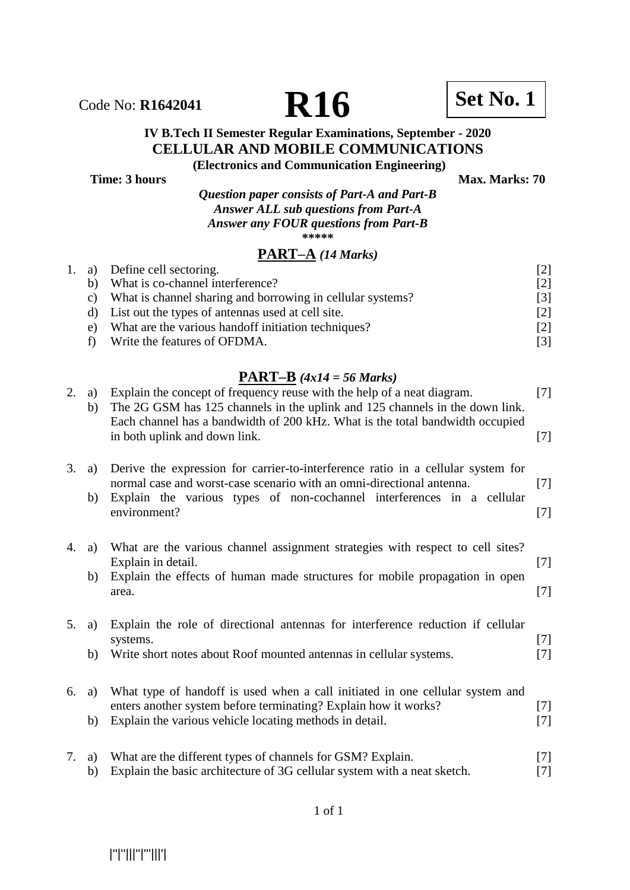

# **IV B.Tech II Semester Regular Examinations, September - 2020 CELLULAR AND MOBILE COMMUNICATIONS**

**Time: 3 hours** Max. Marks: 70

**(Electronics and Communication Engineering)**

*Question paper consists of Part-A and Part-B Answer ALL sub questions from Part-A Answer any FOUR questions from Part-B*  **\*\*\*\*\***

## **PART–A** *(14 Marks)*

|    | 1. a) Define cell sectoring.                               |                   |
|----|------------------------------------------------------------|-------------------|
|    | b) What is co-channel interference?                        | $\lceil 2 \rceil$ |
| C) | What is channel sharing and borrowing in cellular systems? | $\lceil 3 \rceil$ |
|    | List out the types of antennas used at cell site.          | $\lceil 2 \rceil$ |
| e) | What are the various hand of initiation techniques?        | [2]               |
|    | Write the features of OFDMA.                               |                   |

| 2. | a)<br>b) | Explain the concept of frequency reuse with the help of a neat diagram.<br>The 2G GSM has 125 channels in the uplink and 125 channels in the down link.<br>Each channel has a bandwidth of 200 kHz. What is the total bandwidth occupied<br>in both uplink and down link. | $[7]$<br>$[7]$ |
|----|----------|---------------------------------------------------------------------------------------------------------------------------------------------------------------------------------------------------------------------------------------------------------------------------|----------------|
| 3. | a)<br>b) | Derive the expression for carrier-to-interference ratio in a cellular system for<br>normal case and worst-case scenario with an omni-directional antenna.<br>Explain the various types of non-cochannel interferences in a cellular<br>environment?                       | $[7]$<br>$[7]$ |
| 4. | a)<br>b) | What are the various channel assignment strategies with respect to cell sites?<br>Explain in detail.<br>Explain the effects of human made structures for mobile propagation in open<br>area.                                                                              | $[7]$<br>$[7]$ |
| 5. | a)<br>b) | Explain the role of directional antennas for interference reduction if cellular<br>systems.<br>Write short notes about Roof mounted antennas in cellular systems.                                                                                                         | $[7]$<br>$[7]$ |
| 6. | a)<br>b) | What type of handoff is used when a call initiated in one cellular system and<br>enters another system before terminating? Explain how it works?<br>Explain the various vehicle locating methods in detail.                                                               | $[7]$<br>$[7]$ |
| 7. | a)<br>b) | What are the different types of channels for GSM? Explain.<br>Explain the basic architecture of 3G cellular system with a neat sketch.                                                                                                                                    | $[7]$<br>$[7]$ |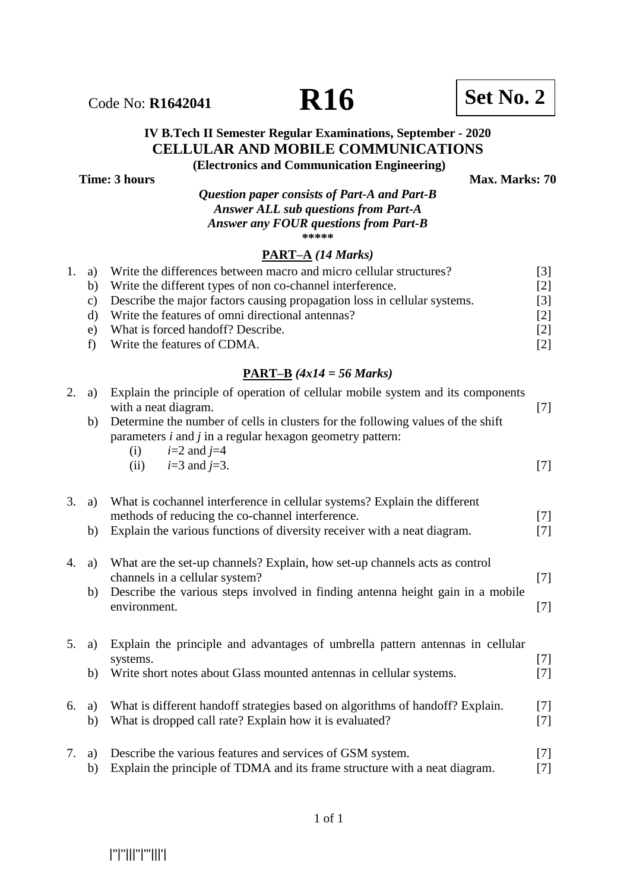# Code No: **R1642041 R16 R16 Set No. 2**

## **IV B.Tech II Semester Regular Examinations, September - 2020 CELLULAR AND MOBILE COMMUNICATIONS**

**(Electronics and Communication Engineering)**

**Time: 3 hours** Max. Marks: 70

*Question paper consists of Part-A and Part-B Answer ALL sub questions from Part-A Answer any FOUR questions from Part-B*

**\*\*\*\*\***

#### **PART–A** *(14 Marks)*

|       | 1. a) Write the differences between macro and micro cellular structures? | $\lceil 3 \rceil$ |
|-------|--------------------------------------------------------------------------|-------------------|
| b)    | Write the different types of non co-channel interference.                | [2]               |
| C)    | Describe the major factors causing propagation loss in cellular systems. | [3]               |
|       | Write the features of omni directional antennas?                         | [2]               |
| $e$ ) | What is forced handoff? Describe.                                        | $\lceil 2 \rceil$ |
|       | f) Write the features of CDMA.                                           | $\lceil 2 \rceil$ |

| 2. | a)       | Explain the principle of operation of cellular mobile system and its components<br>with a neat diagram.                                                                    | $[7]$          |
|----|----------|----------------------------------------------------------------------------------------------------------------------------------------------------------------------------|----------------|
|    | b)       | Determine the number of cells in clusters for the following values of the shift<br>parameters $i$ and $j$ in a regular hexagon geometry pattern:<br>$i=2$ and $j=4$<br>(i) |                |
|    |          | $i=3$ and $i=3$ .<br>(ii)                                                                                                                                                  | $[7]$          |
| 3. | a)       | What is cochannel interference in cellular systems? Explain the different<br>methods of reducing the co-channel interference.                                              | $[7]$          |
|    | b)       | Explain the various functions of diversity receiver with a neat diagram.                                                                                                   | $[7]$          |
| 4. | a)       | What are the set-up channels? Explain, how set-up channels acts as control<br>channels in a cellular system?                                                               | $[7]$          |
|    | b)       | Describe the various steps involved in finding antenna height gain in a mobile<br>environment.                                                                             | $[7]$          |
| 5. | a)       | Explain the principle and advantages of umbrella pattern antennas in cellular<br>systems.                                                                                  | $[7]$          |
|    | b)       | Write short notes about Glass mounted antennas in cellular systems.                                                                                                        | $[7]$          |
| 6. | a)<br>b) | What is different handoff strategies based on algorithms of handoff? Explain.<br>What is dropped call rate? Explain how it is evaluated?                                   | $[7]$<br>$[7]$ |
| 7. | a)<br>b) | Describe the various features and services of GSM system.<br>Explain the principle of TDMA and its frame structure with a neat diagram.                                    | $[7]$<br>$[7]$ |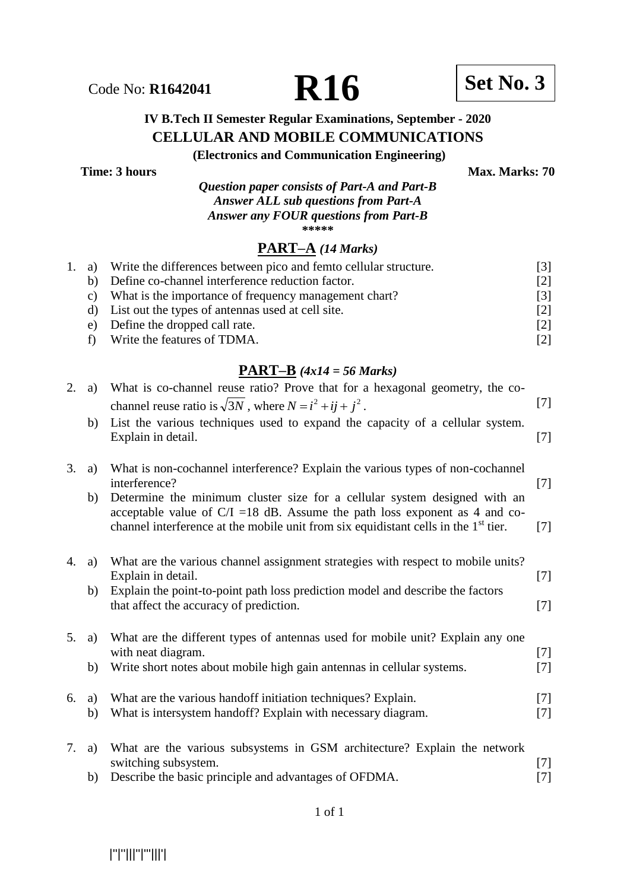

## **IV B.Tech II Semester Regular Examinations, September - 2020 CELLULAR AND MOBILE COMMUNICATIONS**

**(Electronics and Communication Engineering)**

**Time: 3 hours** Max. Marks: 70

*Question paper consists of Part-A and Part-B Answer ALL sub questions from Part-A Answer any FOUR questions from Part-B* **\*\*\*\*\***

#### **PART–A** *(14 Marks)*

| 1. a) | Write the differences between pico and femto cellular structure. | 131               |
|-------|------------------------------------------------------------------|-------------------|
| b)    | Define co-channel interference reduction factor.                 | [2]               |
| C)    | What is the importance of frequency management chart?            | [3]               |
|       | d) List out the types of antennas used at cell site.             | [2]               |
|       | e) Define the dropped call rate.                                 | [2]               |
|       | f) Write the features of TDMA.                                   | $\lceil 2 \rceil$ |
|       |                                                                  |                   |

| 2. | a)       | What is co-channel reuse ratio? Prove that for a hexagonal geometry, the co-<br>channel reuse ratio is $\sqrt{3}N$ , where $N = i^2 + ij + j^2$ .<br>List the various techniques used to expand the capacity of a cellular system. | $[7]$          |
|----|----------|------------------------------------------------------------------------------------------------------------------------------------------------------------------------------------------------------------------------------------|----------------|
|    | b)       | Explain in detail.                                                                                                                                                                                                                 | $[7]$          |
| 3. | a)<br>b) | What is non-cochannel interference? Explain the various types of non-cochannel<br>interference?<br>Determine the minimum cluster size for a cellular system designed with an                                                       | $[7]$          |
|    |          | acceptable value of $C/I = 18$ dB. Assume the path loss exponent as 4 and co-<br>channel interference at the mobile unit from six equidistant cells in the 1 <sup>st</sup> tier.                                                   | $[7]$          |
| 4. | a)       | What are the various channel assignment strategies with respect to mobile units?<br>Explain in detail.                                                                                                                             | $[7]$          |
|    | b)       | Explain the point-to-point path loss prediction model and describe the factors<br>that affect the accuracy of prediction.                                                                                                          | $[7]$          |
| 5. | a)       | What are the different types of antennas used for mobile unit? Explain any one<br>with neat diagram.                                                                                                                               | $[7]$          |
|    | b)       | Write short notes about mobile high gain antennas in cellular systems.                                                                                                                                                             | $[7]$          |
| 6. | a)<br>b) | What are the various hand of initiation techniques? Explain.<br>What is intersystem handoff? Explain with necessary diagram.                                                                                                       | $[7]$<br>$[7]$ |
| 7. | a)       | What are the various subsystems in GSM architecture? Explain the network<br>switching subsystem.                                                                                                                                   | $[7]$          |
|    | b)       | Describe the basic principle and advantages of OFDMA.                                                                                                                                                                              | $[7]$          |